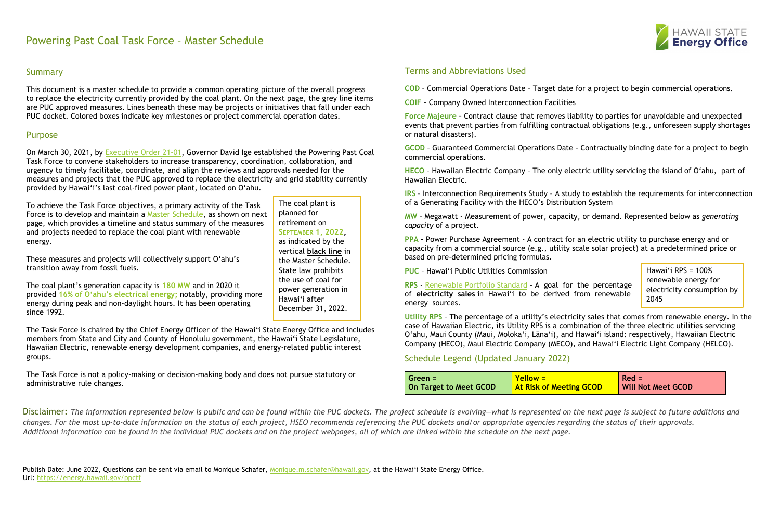# Powering Past Coal Task Force – Master Schedule

# **Summary**

This document is a master schedule to provide a common operating picture of the overall progress to replace the electricity currently provided by the coal plant. On the next page, the grey line items are PUC approved measures. Lines beneath these may be projects or initiatives that fall under each PUC docket. Colored boxes indicate key milestones or project commercial operation dates.

## Purpose

On March 30, 2021, by [Executive Order 21-01,](https://energy.hawaii.gov/wp-content/uploads/2021/04/PPCTF_EO_March2021.pdf) Governor David Ige established the Powering Past Coal Task Force to convene stakeholders to increase transparency, coordination, collaboration, and urgency to timely facilitate, coordinate, and align the reviews and approvals needed for the measures and projects that the PUC approved to replace the electricity and grid stability currently provided by Hawai'i's last coal-fired power plant, located on O'ahu.

To achieve the Task Force objectives, a primary activity of the Task Force is to develop and maintain a Master Schedule, as shown on next page, which provides a timeline and status summary of the measures and projects needed to replace the coal plant with renewable energy.

These measures and projects will collectively support O'ahu's transition away from fossil fuels.

**IRS** - Interconnection Requirements Study - A study to establish the requirements for interconnection of a Generating Facility with the HECO's Distribution System

The coal plant's generation capacity is **180 MW** and in 2020 it provided **16% of O'ahu's electrical energy;** notably, providing more energy during peak and non-daylight hours. It has been operating since 1992.

The Task Force is chaired by the Chief Energy Officer of the Hawai'i State Energy Office and includes members from State and City and County of Honolulu government, the Hawai'i State Legislature, Hawaiian Electric, renewable energy development companies, and energy-related public interest groups.

The Task Force is not a policy-making or decision-making body and does not pursue statutory or administrative rule changes.

**Ang GCOD**  $Red =$ **Will Not Meet GCOD**

Terms and Abbreviations Used

**COD** – Commercial Operations Date – Target date for a project to begin commercial operations.

**COIF** - Company Owned Interconnection Facilities

Disclaimer: The information represented below is public and can be found within the PUC dockets. The project schedule is evolving—what is represented on the next page is subject to future additions and *changes. For the most up-to-date information on the status of each project, HSEO recommends referencing the PUC dockets and/or appropriate agencies regarding the status of their approvals. Additional information can be found in the individual PUC dockets and on the project webpages, all of which are linked within the schedule on the next page.* 

**Force Majeure –** Contract clause that removes liability to parties for unavoidable and unexpected events that prevent parties from fulfilling contractual obligations (e.g., unforeseen supply shortages or natural disasters).

Hawai'i RPS =  $100\%$ renewable energy for electricity consumption by 2045

**GCOD** – Guaranteed Commercial Operations Date - Contractually binding date for a project to begin commercial operations.

**HECO** – Hawaiian Electric Company – The only electric utility servicing the island of O'ahu, part of Hawaiian Electric.

**MW** – Megawatt - Measurement of power, capacity, or demand. Represented below as *generating capacity* of a project.

**PPA –** Power Purchase Agreement - A contract for an electric utility to purchase energy and or capacity from a commercial source (e.g., utility scale solar project) at a predetermined price or based on pre-determined pricing formulas.

**PUC** – Hawai'i Public Utilities Commission

**RPS** - [Renewable Portfolio Standard](https://www.capitol.hawaii.gov/hrscurrent/Vol05_Ch0261-0319/HRS0269/HRS_0269-0092.htm) - A goal for the percentage of **electricity sales** in Hawai'i to be derived from renewable energy sources.

**Utility RPS** – The percentage of a utility's electricity sales that comes from renewable energy. In the case of Hawaiian Electric, its Utility RPS is a combination of the three electric utilities servicing O'ahu, Maui County (Maui, Moloka'i, Lāna'i), and Hawai'i island: respectively, Hawaiian Electric Company (HECO), Maui Electric Company (MECO), and Hawai'i Electric Light Company (HELCO).

Schedule Legend (Updated January 2022)

| Green =                | <mark>  Yellow =</mark>  |
|------------------------|--------------------------|
| On Target to Meet GCOD | <b>At Risk of Meetin</b> |

The coal plant is



planned for retirement on **SEPTEMBER 1, 2022,** as indicated by the vertical **black line** in the Master Schedule. State law prohibits the use of coal for power generation in Hawai'i after December 31, 2022.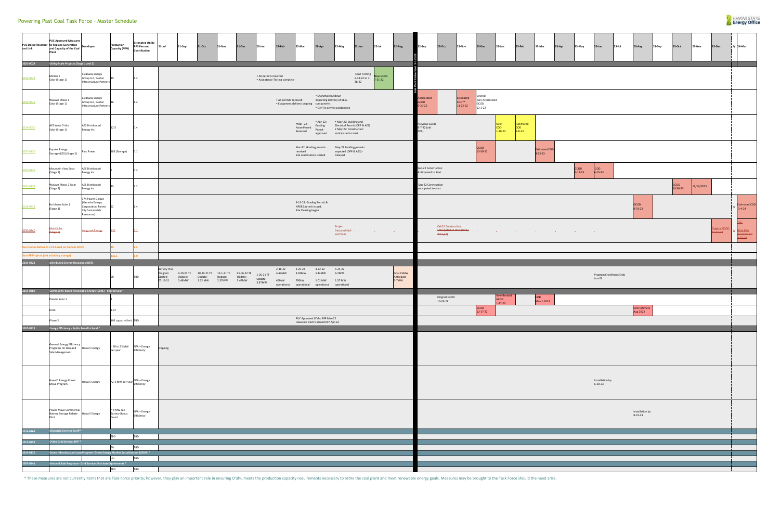| and Link  | <b>PUC Approved Measure:</b><br>PUC Docket Number to Replace Generation<br>and Capacity of the Coal<br>Plant | velopı                                                                                              | roduction<br>Capacity (MW)                       | <b>Estimated Utility</b><br><b>RPS Percent</b><br>Contribution | 21-Jul              | 21-Sep | 21-Oct                                                                                                                                                      | 21-Nov | 21-Dec | 22-Jan                          | 22-Feb                           | 22-Mar                                                                              | 22-Apr                                                     | 22-May                                                                   | 22-Jun                                                 | $22$ -Jul                         | 22-Aug                           | 22-Sep                                      | 22-Oct                                     | <b>22-Nov</b>                                                                                                                                                                                                                        | 22-Dec                                               | 23-Jan                                    | 23-Feb                                  | 23-Mar                   | 23-Apr | 23-May          | 23-Jun                              | $23$ -Jul | 23-Aug                           | 23-Sep | 23-Oct           | 23-Nov     | 23-Dec                  | // 24-Mar                       |
|-----------|--------------------------------------------------------------------------------------------------------------|-----------------------------------------------------------------------------------------------------|--------------------------------------------------|----------------------------------------------------------------|---------------------|--------|-------------------------------------------------------------------------------------------------------------------------------------------------------------|--------|--------|---------------------------------|----------------------------------|-------------------------------------------------------------------------------------|------------------------------------------------------------|--------------------------------------------------------------------------|--------------------------------------------------------|-----------------------------------|----------------------------------|---------------------------------------------|--------------------------------------------|--------------------------------------------------------------------------------------------------------------------------------------------------------------------------------------------------------------------------------------|------------------------------------------------------|-------------------------------------------|-----------------------------------------|--------------------------|--------|-----------------|-------------------------------------|-----------|----------------------------------|--------|------------------|------------|-------------------------|---------------------------------|
| 2021-0024 | Utility-Scale Projects (Stage 1 and 2)                                                                       |                                                                                                     |                                                  |                                                                |                     |        |                                                                                                                                                             |        |        |                                 |                                  |                                                                                     |                                                            |                                                                          |                                                        |                                   |                                  |                                             |                                            |                                                                                                                                                                                                                                      |                                                      |                                           |                                         |                          |        |                 |                                     |           |                                  |        |                  |            |                         |                                 |
| 2018-0434 | Mililani I<br>Solar (Stage 1)                                                                                | Clearway Energy<br>Group LLC; Global<br>Infrastructure Partners                                     |                                                  | 1.2                                                            |                     |        |                                                                                                                                                             |        |        | · All permits received          | • Acceptance Testing complete    |                                                                                     |                                                            |                                                                          | CSAT Testing<br>New GCOD<br>6-14-22 to 7-<br>$28 - 22$ | $7 - 31 - 22$                     |                                  |                                             |                                            |                                                                                                                                                                                                                                      |                                                      |                                           |                                         |                          |        |                 |                                     |           |                                  |        |                  |            |                         |                                 |
| 2018-0435 | Waiawa Phase 1<br>Solar (Stage 1)                                                                            | Clearway Energy<br>Group LLC; Global<br>Infrastructure Partners                                     |                                                  | 1.2                                                            |                     |        |                                                                                                                                                             |        |        |                                 | · All permits received           | • Equipment delivery ongoing components                                             | · Shanghai shutdown                                        | impacting delivery of BESS<br>• GenTie permit outstanding                |                                                        |                                   |                                  | elerated<br>$-30 - 22$                      |                                            | Estimated<br>COD**<br>$11 - 22 - 22$                                                                                                                                                                                                 | Original<br>Non-Accelerated<br>GCOD<br>$12 - 1 - 22$ |                                           |                                         |                          |        |                 |                                     |           |                                  |        |                  |            |                         |                                 |
| 2019-0050 | AES West O'ahu<br>Solar (Stage 1)                                                                            | <b>AES Distributed</b><br>Energy Inc.                                                               | 12.5                                             | 0.4                                                            |                     |        |                                                                                                                                                             |        |        |                                 |                                  | •Mar-22:<br>Noise Permit<br>Received                                                | $\rightharpoonup$ Apr-22:<br>Grading<br>Permit<br>approved | • May-22: Building and<br>• May-22: Construction<br>anticipated to start | Electrical Permit (DPP & AES)                          |                                   |                                  | evious GCOD<br>7-22 (old                    |                                            |                                                                                                                                                                                                                                      |                                                      | <b>New</b><br><b>COD</b><br>$1 - 20 - 23$ | Estimated<br><b>COD</b><br>$2 - 8 - 23$ |                          |        |                 |                                     |           |                                  |        |                  |            |                         |                                 |
| 2020-0136 | Kapolei Energy<br>Storage (KES) (Stage 2)                                                                    | Plus Power                                                                                          | 185 (Storage)                                    | 0.1                                                            |                     |        |                                                                                                                                                             |        |        |                                 |                                  | Mar-22: Grading permits<br>received<br>Site mobilization started                    |                                                            | May-22 Building permits<br>expected (DPP & AES) -<br>Delayed             |                                                        |                                   |                                  |                                             |                                            |                                                                                                                                                                                                                                      | GCOD<br>12-30-22                                     |                                           |                                         | Estimated COD<br>3-23-23 |        |                 |                                     |           |                                  |        |                  |            |                         |                                 |
| 2020-0139 | Mountain View Solar<br>(Stage 2)                                                                             | <b>AES Distributed</b><br>Energy Inc.                                                               |                                                  | 0.3                                                            |                     |        |                                                                                                                                                             |        |        |                                 |                                  |                                                                                     |                                                            |                                                                          |                                                        |                                   |                                  | Sep-22 Construction<br>inticipated to Start |                                            |                                                                                                                                                                                                                                      |                                                      |                                           |                                         |                          |        | GCOD<br>5-17-23 | COD<br>$6 - 15 - 23$                |           |                                  |        |                  |            |                         |                                 |
| 2020-0137 | Waiawa Phase 2 Solar<br>(Stage 2)                                                                            | <b>AES Distributed</b><br>Energy Inc.                                                               |                                                  | 1.2                                                            |                     |        |                                                                                                                                                             |        |        |                                 |                                  |                                                                                     |                                                            |                                                                          |                                                        |                                   |                                  | Sep-22 Construction<br>inticipated to start |                                            |                                                                                                                                                                                                                                      |                                                      |                                           |                                         |                          |        |                 |                                     |           |                                  |        | GCOD<br>10-30-23 | 11/13/2023 |                         |                                 |
| 2018-0431 | Ho'ohana Solar 1<br>(Stage 1)                                                                                | 174 Power Global;<br>(Hanwha Energy<br>Corporation; Forest<br><b>City Sustainable</b><br>Resources) | 52                                               | 1.4                                                            |                     |        |                                                                                                                                                             |        |        |                                 |                                  | 3-15-22: Grading Permit &<br>NPDES permit issued,<br>Site Clearing began            |                                                            |                                                                          |                                                        |                                   |                                  |                                             |                                            |                                                                                                                                                                                                                                      |                                                      |                                           |                                         |                          |        |                 |                                     |           | GCOD<br>$8 - 31 - 23$            |        |                  |            |                         | Estima<br>3-4-24                |
| 2020-0140 | 4ahi Solar<br>${\text{Stage-2}}$                                                                             | Longroad Energy                                                                                     | 420                                              | 2.1                                                            |                     |        |                                                                                                                                                             |        |        |                                 |                                  |                                                                                     |                                                            | Project<br>Declared Null -<br>and Void                                   |                                                        | the control of the control of the |                                  |                                             | Q4-22 Construction-<br><del>delayed)</del> | <b>anticipated to start (likely contract) with the contract of the contract of the contract of the contract of the contract of the contract of the contract of the contract of the contract of the contract of the contract of t</b> |                                                      |                                           |                                         |                          |        |                 |                                     |           |                                  |        |                  |            | riginal GCC<br>12-31-23 | With P<br>nend<br>$3 - 31 - 24$ |
|           | Sum Online Before 9-1-22 Based on Current GCOD                                                               |                                                                                                     |                                                  | 2.4                                                            |                     |        |                                                                                                                                                             |        |        |                                 |                                  |                                                                                     |                                                            |                                                                          |                                                        |                                   |                                  |                                             |                                            |                                                                                                                                                                                                                                      |                                                      |                                           |                                         |                          |        |                 |                                     |           |                                  |        |                  |            |                         |                                 |
|           | <b>Sum All Projects (not including storage)</b>                                                              |                                                                                                     | 236.5                                            | 8.9                                                            |                     |        |                                                                                                                                                             |        |        |                                 |                                  |                                                                                     |                                                            |                                                                          |                                                        |                                   |                                  |                                             |                                            |                                                                                                                                                                                                                                      |                                                      |                                           |                                         |                          |        |                 |                                     |           |                                  |        |                  |            |                         |                                 |
| 2019-0323 | <b>Distributed Energy Resources (DER)</b>                                                                    |                                                                                                     |                                                  |                                                                |                     |        |                                                                                                                                                             |        |        |                                 |                                  |                                                                                     |                                                            |                                                                          |                                                        |                                   |                                  |                                             |                                            |                                                                                                                                                                                                                                      |                                                      |                                           |                                         |                          |        |                 |                                     |           |                                  |        |                  |            |                         |                                 |
| 2015-0389 |                                                                                                              | Community-Based Renewable Energy (CBRE) - Shared Solar                                              |                                                  | TBD                                                            | <b>Battery Plus</b> |        | Program 9-29-21 TF 10-29-21 TF 12-1-21 TF 01-06-22 TF<br>Started Update: Update: Update: Update: Update:<br>07-19-21   0.46MW   1.32   MW   2.57MW   3.47MW |        |        | 1-26-21 TF<br>Update:<br>3.97MW | $2 - 18 - 22$<br>4.43MW<br>450kW | $3 - 25 - 22$<br>4.92MW<br>790kW<br>operational operational operational operational | $4 - 22 - 22$<br>5.44MW<br>1.01 MW   1.37 MW               | $5 - 24 - 22$<br>6.2MW                                                   |                                                        |                                   | Goal 15MW<br>Anticipate<br>5-7MW |                                             |                                            |                                                                                                                                                                                                                                      |                                                      |                                           |                                         |                          |        |                 | Program Enrollment Ends<br>$Jun-23$ |           |                                  |        |                  |            |                         |                                 |
|           |                                                                                                              |                                                                                                     |                                                  |                                                                |                     |        |                                                                                                                                                             |        |        |                                 |                                  |                                                                                     |                                                            |                                                                          |                                                        |                                   |                                  |                                             | Original GCOD                              |                                                                                                                                                                                                                                      |                                                      | New Revised                               |                                         | <b>COD</b>               |        |                 |                                     |           |                                  |        |                  |            |                         |                                 |
|           | Palailai Solar 1<br><b>KHLS</b>                                                                              |                                                                                                     | 1.72                                             |                                                                |                     |        |                                                                                                                                                             |        |        |                                 |                                  |                                                                                     |                                                            |                                                                          |                                                        |                                   |                                  |                                             | 10-29-22                                   |                                                                                                                                                                                                                                      | GCOD<br>$12 - 17 - 22$                               | GCOD<br>$27 - 23$                         |                                         | March 2023               |        |                 |                                     |           | <b>COD Estimate</b><br>Aug 2023  |        |                  |            |                         |                                 |
|           | Phase 2                                                                                                      |                                                                                                     | 105 capacity limit TBD                           |                                                                |                     |        |                                                                                                                                                             |        |        |                                 |                                  |                                                                                     | PUC Approved O'ahu RFP Mar-22                              |                                                                          |                                                        |                                   |                                  |                                             |                                            |                                                                                                                                                                                                                                      |                                                      |                                           |                                         |                          |        |                 |                                     |           |                                  |        |                  |            |                         |                                 |
| 2007-0323 | Energy Efficiency - Public Benefits Fund *                                                                   |                                                                                                     |                                                  |                                                                |                     |        |                                                                                                                                                             |        |        |                                 |                                  |                                                                                     | Hawaiian Electric issued RFP Apr-22                        |                                                                          |                                                        |                                   |                                  |                                             |                                            |                                                                                                                                                                                                                                      |                                                      |                                           |                                         |                          |        |                 |                                     |           |                                  |        |                  |            |                         |                                 |
|           | General Energy Efficiency<br>Programs for Demand Hawai'i Energy<br>Side Management                           |                                                                                                     | per year                                         | $\sim$ 20 to 22 MW $N/A - Energy$<br>Efficiency                | Ongoing             |        |                                                                                                                                                             |        |        |                                 |                                  |                                                                                     |                                                            |                                                                          |                                                        |                                   |                                  |                                             |                                            |                                                                                                                                                                                                                                      |                                                      |                                           |                                         |                          |        |                 |                                     |           |                                  |        |                  |            |                         |                                 |
|           | Hawai'i Energy Power<br>Move Program                                                                         | Hawai'i Energy                                                                                      |                                                  | $\sim$ 2-3 MW per year $\frac{N}{A - Energy}$                  |                     |        |                                                                                                                                                             |        |        |                                 |                                  |                                                                                     |                                                            |                                                                          |                                                        |                                   |                                  |                                             |                                            |                                                                                                                                                                                                                                      |                                                      |                                           |                                         |                          |        |                 | Installation by<br>$6 - 30 - 23$    |           |                                  |        |                  |            |                         |                                 |
|           | Power Move Commercial<br>Battery Storage Rebate Hawai'i Energy<br>Pilot                                      |                                                                                                     | $\sim$ 4 MW see<br><b>Battery Bonus</b><br>Count | N/A - Energy<br>Efficiency                                     |                     |        |                                                                                                                                                             |        |        |                                 |                                  |                                                                                     |                                                            |                                                                          |                                                        |                                   |                                  |                                             |                                            |                                                                                                                                                                                                                                      |                                                      |                                           |                                         |                          |        |                 |                                     |           | Installation by<br>$8 - 31 - 23$ |        |                  |            |                         |                                 |
| 2018-0163 | Microgrid Services Tariff*                                                                                   |                                                                                                     | TBD                                              | <b>TBD</b>                                                     |                     |        |                                                                                                                                                             |        |        |                                 |                                  |                                                                                     |                                                            |                                                                          |                                                        |                                   |                                  |                                             |                                            |                                                                                                                                                                                                                                      |                                                      |                                           |                                         |                          |        |                 |                                     |           |                                  |        |                  |            |                         |                                 |
| 2017-0352 | O'ahu Grid Services RFP *                                                                                    |                                                                                                     | 60                                               | <b>TBD</b>                                                     |                     |        |                                                                                                                                                             |        |        |                                 |                                  |                                                                                     |                                                            |                                                                          |                                                        |                                   |                                  |                                             |                                            |                                                                                                                                                                                                                                      |                                                      |                                           |                                         |                          |        |                 |                                     |           |                                  |        |                  |            |                         |                                 |
| 2014-0135 |                                                                                                              | Green Infrastructure Loan Program- Green Energy Market Securitization (GEMS) *                      |                                                  |                                                                |                     |        |                                                                                                                                                             |        |        |                                 |                                  |                                                                                     |                                                            |                                                                          |                                                        |                                   |                                  |                                             |                                            |                                                                                                                                                                                                                                      |                                                      |                                           |                                         |                          |        |                 |                                     |           |                                  |        |                  |            |                         |                                 |
| 007-0341  |                                                                                                              | Demand Side Response - Grid Services Purchase Agreements *                                          | $-44$                                            | <b>TBD</b>                                                     |                     |        |                                                                                                                                                             |        |        |                                 |                                  |                                                                                     |                                                            |                                                                          |                                                        |                                   |                                  |                                             |                                            |                                                                                                                                                                                                                                      |                                                      |                                           |                                         |                          |        |                 |                                     |           |                                  |        |                  |            |                         |                                 |
|           |                                                                                                              |                                                                                                     | <b>TBD</b>                                       | <b>TBD</b>                                                     |                     |        |                                                                                                                                                             |        |        |                                 |                                  |                                                                                     |                                                            |                                                                          |                                                        |                                   |                                  |                                             |                                            |                                                                                                                                                                                                                                      |                                                      |                                           |                                         |                          |        |                 |                                     |           |                                  |        |                  |            |                         |                                 |



| 23-May        | 23-Jun                              | 23-Jul | 23-Aug                           | 23-Sep | 23-Oct           | 23-Nov     | 23-Dec                    | // 24-Mar                             |
|---------------|-------------------------------------|--------|----------------------------------|--------|------------------|------------|---------------------------|---------------------------------------|
|               |                                     |        |                                  |        |                  |            |                           |                                       |
|               |                                     |        |                                  |        |                  |            |                           |                                       |
|               |                                     |        |                                  |        |                  |            |                           |                                       |
| GCOD          | $\mathsf{COD}$                      |        |                                  |        |                  |            |                           |                                       |
| $5 - 17 - 23$ | $6 - 15 - 23$                       |        |                                  |        | GCOD<br>10-30-23 | 11/13/2023 |                           |                                       |
|               |                                     |        | GCOD<br>8-31-23                  |        |                  |            |                           | $11$ Estimated COD<br><b>GBT</b>      |
|               | $\omega$                            |        |                                  |        |                  |            | Original GCOD<br>12-31-23 | $H$ With PPA-<br>Amendment<br>3-31-24 |
|               |                                     |        |                                  |        |                  |            |                           |                                       |
|               | Program Enrollment Ends<br>$Jun-23$ |        |                                  |        |                  |            |                           |                                       |
|               |                                     |        | <b>COD Estimate</b><br>Aug 2023  |        |                  |            |                           |                                       |
|               |                                     |        |                                  |        |                  |            |                           |                                       |
|               |                                     |        |                                  |        |                  |            |                           |                                       |
|               | Installation by<br>$6 - 30 - 23$    |        |                                  |        |                  |            |                           |                                       |
|               |                                     |        | Installation by<br>$8 - 31 - 23$ |        |                  |            |                           |                                       |
|               |                                     |        |                                  |        |                  |            |                           |                                       |
|               |                                     |        |                                  |        |                  |            |                           |                                       |

## Powering Past Coal Task Force – Master Schedule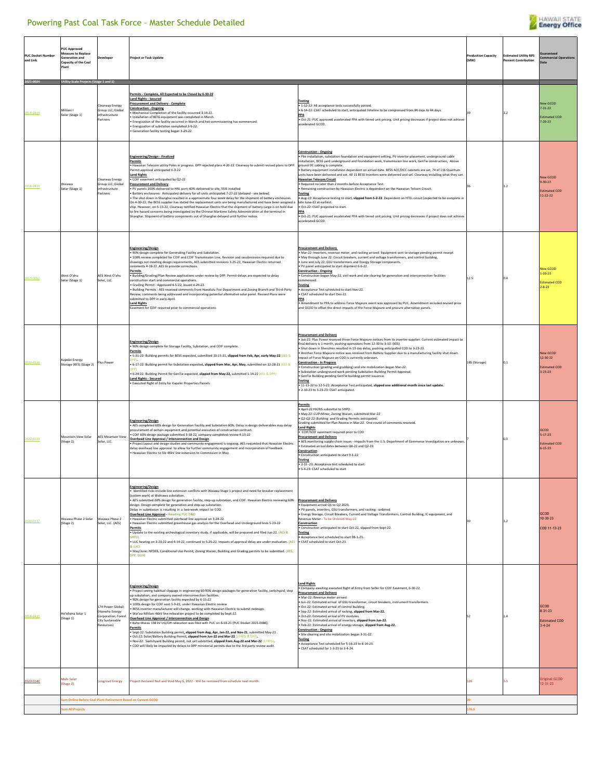### Powering Past Coal Task Force – Master Schedule Detailed



| <b>PUC Docket Numbe</b><br>and Link | <b>PUC Approved</b><br>leasure to Replace<br>eneration and<br>Capacity of the Coal<br>Plant |                                                                                          | <b>Project or Task Update</b>                                                                                                                                                                                                                                                                                                                                                                                                                                                                                                                                                                                                                                                                                                                                                                                                                                                                                                                                                                                                                                                                           |                                                                                                                                                                                                                                                                                                                                                                                                                                                                                                                                                                                                                                                                                                                                                                                                                                                                                                                                                                                                                                                                                      | <b>Production Capacity</b><br>(MW) | <b>Estimated Utility RPS</b><br><b>Percent Contribution</b> | <b>Suarantee</b><br><b>Commercial Operation</b>                      |
|-------------------------------------|---------------------------------------------------------------------------------------------|------------------------------------------------------------------------------------------|---------------------------------------------------------------------------------------------------------------------------------------------------------------------------------------------------------------------------------------------------------------------------------------------------------------------------------------------------------------------------------------------------------------------------------------------------------------------------------------------------------------------------------------------------------------------------------------------------------------------------------------------------------------------------------------------------------------------------------------------------------------------------------------------------------------------------------------------------------------------------------------------------------------------------------------------------------------------------------------------------------------------------------------------------------------------------------------------------------|--------------------------------------------------------------------------------------------------------------------------------------------------------------------------------------------------------------------------------------------------------------------------------------------------------------------------------------------------------------------------------------------------------------------------------------------------------------------------------------------------------------------------------------------------------------------------------------------------------------------------------------------------------------------------------------------------------------------------------------------------------------------------------------------------------------------------------------------------------------------------------------------------------------------------------------------------------------------------------------------------------------------------------------------------------------------------------------|------------------------------------|-------------------------------------------------------------|----------------------------------------------------------------------|
| 2018-0434                           | Jtility-Scale Projects (Sta<br>l inslilh<br>Solar (Stage 1)                                 | Clearway Energy<br>Group LLC; Global<br>Infrastructure<br>artners                        | Permits - Complete, All Expected to be Closed by 6-30-22<br><b>Land Rights - Secured</b><br>Procurement and Delivery - Complete<br><b>Construction - Ongoing</b><br>Mechanical Completion of the facility occurred 3-14-22.<br>Installation of BESS equipment was completed in March.<br>Energization of the facility occurred in March and hot commissioning has commenced.<br>Energization of substation completed 3-9-22.<br>Generation facility testing began 3-29-22.                                                                                                                                                                                                                                                                                                                                                                                                                                                                                                                                                                                                                              | <b>Testing</b><br>. 1-12-22: All acceptance tests successfully passed.<br>6-14-22: CSAT scheduled to start, anticipated timeline to be compressed from 84 days to 44 days.<br>PPA<br>. Oct-21: PUC approved accelerated PPA with tiered unit pricing. Unit pricing decreases if project does not achieve<br>accelerated GCOD.                                                                                                                                                                                                                                                                                                                                                                                                                                                                                                                                                                                                                                                                                                                                                        | 39                                 | 12                                                          | New GCOD<br>$7 - 31 - 22$<br><b>Estimated COD</b><br>$7 - 29 - 22$   |
| 2018-0435                           | Waiawa<br>Solar (Stage 1)                                                                   | learway Energy<br>Group LLC; Global<br>Infrastructure<br>artners                         | Engineering/Design - Finalized<br>Permits<br>. Hawaiian Telecom utility Poles in progress. DPP rejected plans 4-20-22. Clearway to submit revised plans to DPP.<br>ermit approval anticipated 6-3-22<br><b>Land Rights</b><br>COIF easement anticipated by Q2-22<br><b>Procurement and Delivery</b><br>PV panels 100% delivered to HNL port; 60% delivered to site, 55% installed<br>Battery enclosures: Anticipated delivery for all units anticipated 7-27-22 (delayed - see below).<br>The shut down in Shanghai resulted in a approximate four week delay for the shipment of battery enclosures.<br>On 4-30-22, the BESS supplier has stated the replacement units are being manufactured and have been assigned a<br>ship. However, on 5-13-22, Clearway notified Hawaiian Electric that the shipment of battery cargo is on hold due<br>to fire hazard concerns being investigated by the Chinese Maritime Safety Administration at the terminal in<br>hanghai. Shipment of battery components out of Shanghai delayed until further notice.                                                     | <b>Construction - Ongoing</b><br>. Pile installation, substation foundation and equipment setting. PV invertor placement, underground cable<br>nstallation. BESS vard underground and foundation work, transmission line work. GenTie construction. Above<br>ground DC cabling is complete<br>Battery equipment installation dependent on arrival date. BESS ACC/DCC cabinets are set, 74 of 116 Quantum<br>units have been delivered and set. All 11 BESS Inverters were delivered and set. Clearway installing what they can.<br><b>Hawaiian Telecom Circuit</b><br>Required no later than 2 months before Acceptance Test.<br>Remaining construction by Hawaiian Electric is dependent on the Hawaiian Telcom Circuit.<br><b>Testing</b><br>. Aug-22: Acceptance testing to start, slipped from 5-2-22. Dependent on HTEL circuit (expected to be complete in<br>late June-22 at earliest.<br>Oct-22: CSAT projected to start.<br>PPA<br>· Oct-21: PUC approved accelerated PPA with tiered unit pricing. Unit pricing decreases if project does not achieve<br>accelerated GCOD. |                                    | 12                                                          | New GCOD<br>$9 - 30 - 22$<br><b>Estimated COD</b><br>11-22-22        |
| 2019-0050                           | West O'ahu<br>Solar (Stage 1)                                                               | AES West O'ahu<br>Solar, LLC.                                                            | <b>Engineering/Design</b><br>. 90% design complete for Generating Facility and Substation.<br>100% review completed for COIF and COIF Transmission Line, Revision and resubmission required due to<br>drawings not meeting design requirements, AES submitted revisions 3-25-22, Hawaiian Electric returned<br>omments 4-18-22. AES to provide corrections.<br>Permits<br>· Building/Grading/Plan Review applications under review by DPP. Permit delays are expected to delay<br>onstruction start and commercial operations.<br>Grading Permit - Approved 4-5-22, issued 4-29-22.<br>Building Permits - AES received comments from Honolulu Fire Department and Zoning Branch and Third-Party<br>Review, comments being addressed and incorporating potential alternative solar panel. Revised Plans were<br>submitted to DPP in early-April<br><b>Land Rights</b><br>asement for COIF required prior to commercial operations                                                                                                                                                                        | Procurement and Delivery<br>· Mar-22: Inverters, revenue meter, and racking arrived. Equipment sent to storage pending permit receipt<br>. May through June 22: Circuit breakers, current and voltage transformers, and control building<br>June and July 22: GSU transformers and Energy Storage components.<br>PV panel anticipated to start shipment 6-6-22.<br><b>Construction - Ongoing</b><br>. Construction began May-22, civil work and site clearing for generation and interconnection facilities<br>ommenced.<br><b>Testing</b><br>Acceptance Test scheduled to start Nov-22.<br>CSAT scheduled to start Dec-22.<br>PPA<br>Amendment to PPA to address Force Majeure event was approved by PUC. Amendment included revised price<br>and GCOD to offset the direct impacts of the Force Majeure and procure alternative panels                                                                                                                                                                                                                                             | 125                                | n a                                                         | New GCOD<br>$1 - 20 - 23$<br><b>Estimated COD</b><br>$2 - 8 - 23$    |
| 020-0136                            | Kapolei Energy<br>Storage (KES) (Stage 2)                                                   | lus Powe                                                                                 | <b>Engineering/Design</b><br>. 90% design complete for Storage Facility, Substation, and COIF complete.<br>Permits<br>> 5-31-22: Building permits for BESS expected, submitted 10-15-21, slipped from Feb, Apr, early May-22 (KES &<br>+ 6-17-22: Building permit for Substation expected, slipped from Mar, Apr, May, submitted on 12-28-21 (KES &<br>6-24-22: Building Permit for GenTie expected, slipped from May-22, submitted 1-14-22 (KES & DPP)<br>Land Rights - Secured<br>Executed Right of Entry for Kapolei Properties Parcels                                                                                                                                                                                                                                                                                                                                                                                                                                                                                                                                                              | Procurement and Delivery<br>I Jan-22: Plus Power received three Force Majeure notices from its inverter supplier. Current estimated impact to<br>final delivery is 1 month, pushing operations from 12-30 to 3-10. (KES)<br>Shut down in Shenzhen resulted in 13 day delay, pushing anticipated COD to 3-23-23.<br>Another Force Majeure notice was received from Battery Supplier due to a manufacturing facility shut down.<br>npact of Force Majeure on COD is currently unknown<br><b>Construction - In Progress</b><br>Construction (grading and grubbing) and site mobilization began Mar-22.<br>Substation underground work pending Substation Building Permit Approval.<br>GenTie Building pending GenTie building permit issuance.<br><b>Testing</b><br>+11-15-22 to 12-5-22: Acceptance Test anticipated, slipped one additional month since last update.<br>. 2-10-23 to 3-23-23: CSAT anticipated.                                                                                                                                                                       | 185 (Storage)                      |                                                             | <b>Vew GCOD</b><br>12-30-22<br><b>Estimated COD</b><br>$3 - 23 - 23$ |
| 2020-0139                           | Mountain View Solar<br>(Stage 2)                                                            | <b>AES Mountain View</b><br>Solar, LLC.                                                  | Engineering/Design<br>. AES completed 60% design for Generation Facility and Substation 60%. Delay in design deliverables may delay<br>rocurement of certain equipment and potential execution of construction contract.<br>COIF 60% design package submitted 3-18-22, company completed review 4-13-22<br>Overhead Line Approval / Interconnection and Design<br>Project layout and design studies and community engagement is ongoing. AES requested that Hawaiian Electric<br>delay overhead line approval to allow for further community engagement and incorporation of feedback.<br>Hawaiian Electric to file 46kV line extension to Commission in May.                                                                                                                                                                                                                                                                                                                                                                                                                                           | Permits<br>. April-22:HICRIS submittal to SHPD.<br>. May-22: CUP-Minor, Zoning Waiver, submitted Mar-22<br>Q2-Q3 22: Building and Grading Permits anticipated.<br>Grading submitted for Plan Review in Mar-22. One round of comments received<br>and Rights<br>COIF/SOIF easement required prior to COD<br><b>Procurement and Delivery</b><br>AES monitoring supply chain issues - impacts from the U.S. Department of Commerce Investigation are unknown<br>Estimated arrival dates between Q4-22 and Q2-23.<br>Construction<br>Construction anticipated to start 9-1-22<br><b>Testing</b><br>+ 2-15 -23: Acceptance test scheduled to start<br>5-4-23: CSAT scheduled to start                                                                                                                                                                                                                                                                                                                                                                                                     |                                    | n 3                                                         | GCOD<br>5-17-23<br>Estimated COD<br>$6 - 15 - 23$                    |
| 2020-0137                           | Waiawa Phase 2 Solar<br>Stage 2)                                                            | Waiawa Phase 2<br>Solar, LLC. (AES)                                                      | <b>Engineering/Design</b><br>Identified risks include line extension conflicts with Waiawa Stage 1 project and need for breaker replacement<br>(system work) at Wahiawa substation<br>AES submitted 60% design for generation facility, step-up substation, and COIF. Hawaiian Electric reviewing 60%<br>design. Design complete for generation and step-up substation.<br>Delay in submission is resulting in a two-week impact to COD.<br>Overhead Line Approval - Awaiting PUC D&O<br>· Hawaiian Electric submitted overhead line approval on 3-24-22.<br>Hawaiian Electric submitted greenhouse gas analysis for the Overhead and Underground lines 5-23-22<br>Permits<br>. Update to the existing archeological inventory study, if applicable, will be prepared and filed Jun-22. (AES &<br><b>HPD</b><br>• LUC hearing on 3-23-22 and 4-14-22, continued to 5-25-22. Impacts of approval delay are under evaluation. (AES • CSAT scheduled to start Oct-23.<br>& LUCI<br>May/June: NPDES, Conditional Use Permit, Zoning Waiver, Building and Grading permits to be submitted. (AES,<br>PP, DOH) | <b>Procurement and Delivery</b><br>Equipment arrival Q1 to Q2 2023.<br>. PV panels, inverters, GSU transformers, and racking - ordered.<br>· Energy Storage, Circuit Breakers, Current and Voltage Transformers, Control Building, IC equipment, and<br>Revenue Meter - To be Ordered May-22<br>Construction<br>Construction anticipated to start Oct-22, slipped from Sept-22<br><b>Testing</b><br>Acceptance test scheduled to start 08-1-23.                                                                                                                                                                                                                                                                                                                                                                                                                                                                                                                                                                                                                                      | 30                                 | $\overline{1.2}$                                            | GCOD<br>$10 - 30 - 23$<br>COD 11-13-23                               |
| 2018-0431                           | Ho'ohana Solar 1<br>(Stage 1)                                                               | 74 Power Global;<br>Hanwha Energy<br>orporation: Forest<br>City Sustainable<br>(esources | <b>Engineering/Design</b><br>· Project seeing habitual slippage in engineering 60:90% design packages for generation facility, switchyard, step<br>up substation, and company owned interconnection facilities.<br>90% design for generation facility expected by 6-15-22<br>100% design for COIF sent 5-9-22, under Hawaiian Electric review<br>BESS inverter manufacturer will change, working with Hawaiian Electric to submit redesign.<br>Wai'au-Mililani 46kV line relocation project to be completed by Sept-22.<br>Overhead Line Approval / Interconnection and Design<br>. Kahe-Waiau 138 kV UG/OH relocation was filed with PUC on 6-18-21 (PUC Docket 2021-0086).<br>Permits<br>. Sept-22: Substation Building permit, slipped from Aug, Apr, Jan-22, and Nov-21, submitted May-21 .<br>Oct-22: Solar/Battery Building Permit, slipped from Jun-22 and Mar-22 (174PG & DPF<br>Nov-22: Switchyard Building permit, not yet submitted, slipped from Aug-22 and Mar-22 (174PG).<br>COD will likely be impacted by delays to DPP ministerial permits due to the 3rd party review audit.          | <b>Land Rights</b><br>Company awaiting executed Right of Entry from Seller for COIF Easement, 6-30-22.<br><b>Procurement and Delivery</b><br>Mar-22: Revenue meter arrived<br>Jun-22: Estimated arrival of GSU transformer, circuit breakers, instrument transformers.<br>Oct-22: Estimated arrival of control building.<br>Sep-22: Estimated arrival of racking, slipped from Mar-22.<br>Oct-22: Estimated arrival of PV modules.<br>Nov-22: Estimated arrival of invertors, slipped from Jun-22.<br>. Feb-22: Estimated arrival of energy storage, slipped from Aug-22.<br><b>Construction - Ongoing</b><br>Site clearing and site mobilization began 3-31-22.<br><b>Testing</b><br>Acceptance Test scheduled for 5-16-23 to 6-14-23.<br>. CSAT scheduled for 1-3-23 to 3-4-24.                                                                                                                                                                                                                                                                                                    | 52                                 | 14                                                          | GCOD<br>$8 - 31 - 23$<br><b>Estimated COD</b><br>$3 - 4 - 24$        |
| 2020-0140                           | Mahi Solar<br>(Stage 2)                                                                     | ongroad Energy                                                                           | Project Declared Null and Void May 6, 2022 - Will be removed from schedule next month                                                                                                                                                                                                                                                                                                                                                                                                                                                                                                                                                                                                                                                                                                                                                                                                                                                                                                                                                                                                                   |                                                                                                                                                                                                                                                                                                                                                                                                                                                                                                                                                                                                                                                                                                                                                                                                                                                                                                                                                                                                                                                                                      | 120                                | 31                                                          | Original GCOD<br>$12 - 31 - 23$                                      |
|                                     | um Online Before Coal Plant Retirement Based on Current GCOD<br>um All Projects             |                                                                                          |                                                                                                                                                                                                                                                                                                                                                                                                                                                                                                                                                                                                                                                                                                                                                                                                                                                                                                                                                                                                                                                                                                         |                                                                                                                                                                                                                                                                                                                                                                                                                                                                                                                                                                                                                                                                                                                                                                                                                                                                                                                                                                                                                                                                                      | 176.5                              |                                                             |                                                                      |